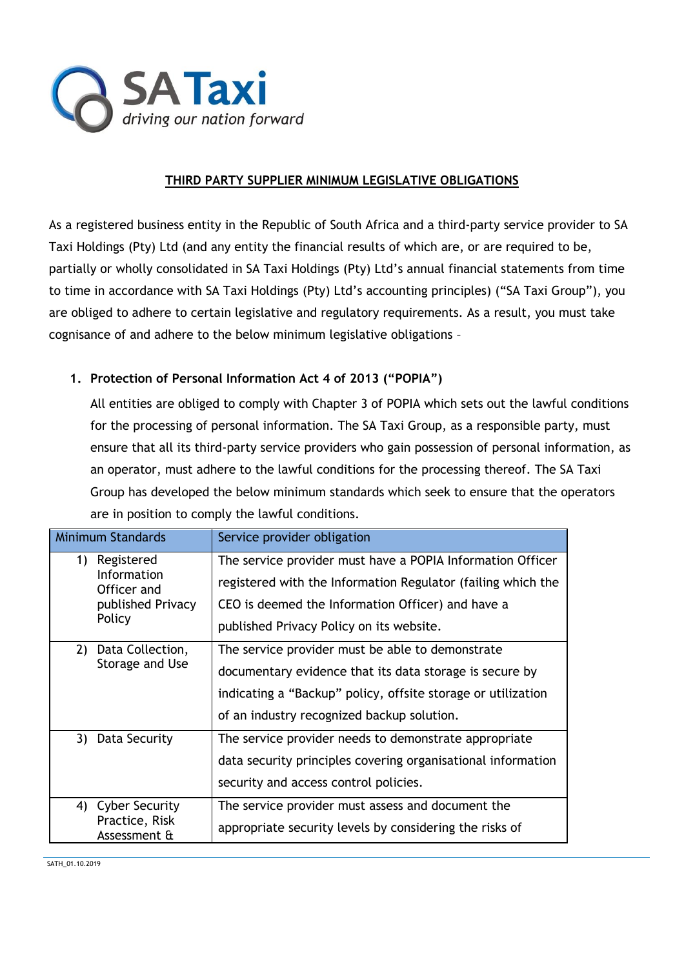

## **THIRD PARTY SUPPLIER MINIMUM LEGISLATIVE OBLIGATIONS**

As a registered business entity in the Republic of South Africa and a third-party service provider to SA Taxi Holdings (Pty) Ltd (and any entity the financial results of which are, or are required to be, partially or wholly consolidated in SA Taxi Holdings (Pty) Ltd's annual financial statements from time to time in accordance with SA Taxi Holdings (Pty) Ltd's accounting principles) ("SA Taxi Group"), you are obliged to adhere to certain legislative and regulatory requirements. As a result, you must take cognisance of and adhere to the below minimum legislative obligations –

## **1. Protection of Personal Information Act 4 of 2013 ("POPIA")**

All entities are obliged to comply with Chapter 3 of POPIA which sets out the lawful conditions for the processing of personal information. The SA Taxi Group, as a responsible party, must ensure that all its third-party service providers who gain possession of personal information, as an operator, must adhere to the lawful conditions for the processing thereof. The SA Taxi Group has developed the below minimum standards which seek to ensure that the operators are in position to comply the lawful conditions.

| <b>Minimum Standards</b>                                                      | Service provider obligation                                                                                                                                                                                                 |
|-------------------------------------------------------------------------------|-----------------------------------------------------------------------------------------------------------------------------------------------------------------------------------------------------------------------------|
| Registered<br>1)<br>Information<br>Officer and<br>published Privacy<br>Policy | The service provider must have a POPIA Information Officer<br>registered with the Information Regulator (failing which the<br>CEO is deemed the Information Officer) and have a<br>published Privacy Policy on its website. |
| Data Collection,<br>2)<br>Storage and Use                                     | The service provider must be able to demonstrate<br>documentary evidence that its data storage is secure by<br>indicating a "Backup" policy, offsite storage or utilization<br>of an industry recognized backup solution.   |
| 3) Data Security                                                              | The service provider needs to demonstrate appropriate<br>data security principles covering organisational information<br>security and access control policies.                                                              |
| 4) Cyber Security<br>Practice, Risk<br>Assessment &                           | The service provider must assess and document the<br>appropriate security levels by considering the risks of                                                                                                                |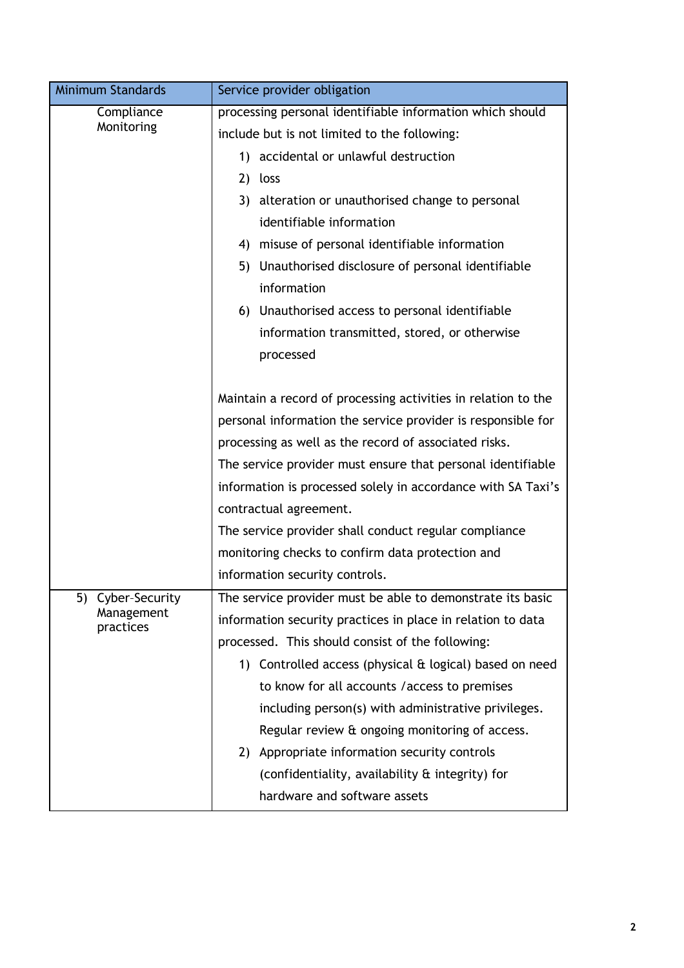| <b>Minimum Standards</b>                     | Service provider obligation                                                                                                                                                                                                                                                                                                                                                                                                                                                                                                           |
|----------------------------------------------|---------------------------------------------------------------------------------------------------------------------------------------------------------------------------------------------------------------------------------------------------------------------------------------------------------------------------------------------------------------------------------------------------------------------------------------------------------------------------------------------------------------------------------------|
| Compliance<br>Monitoring                     | processing personal identifiable information which should<br>include but is not limited to the following:<br>1) accidental or unlawful destruction<br>2)<br>loss<br>3) alteration or unauthorised change to personal<br>identifiable information<br>misuse of personal identifiable information<br>4)<br>Unauthorised disclosure of personal identifiable<br>5)                                                                                                                                                                       |
|                                              | information<br>6) Unauthorised access to personal identifiable<br>information transmitted, stored, or otherwise<br>processed                                                                                                                                                                                                                                                                                                                                                                                                          |
|                                              | Maintain a record of processing activities in relation to the<br>personal information the service provider is responsible for<br>processing as well as the record of associated risks.<br>The service provider must ensure that personal identifiable<br>information is processed solely in accordance with SA Taxi's<br>contractual agreement.<br>The service provider shall conduct regular compliance<br>monitoring checks to confirm data protection and<br>information security controls.                                        |
| 5) Cyber-Security<br>Management<br>practices | The service provider must be able to demonstrate its basic<br>information security practices in place in relation to data<br>processed. This should consist of the following:<br>1) Controlled access (physical & logical) based on need<br>to know for all accounts / access to premises<br>including person(s) with administrative privileges.<br>Regular review & ongoing monitoring of access.<br>2) Appropriate information security controls<br>(confidentiality, availability & integrity) for<br>hardware and software assets |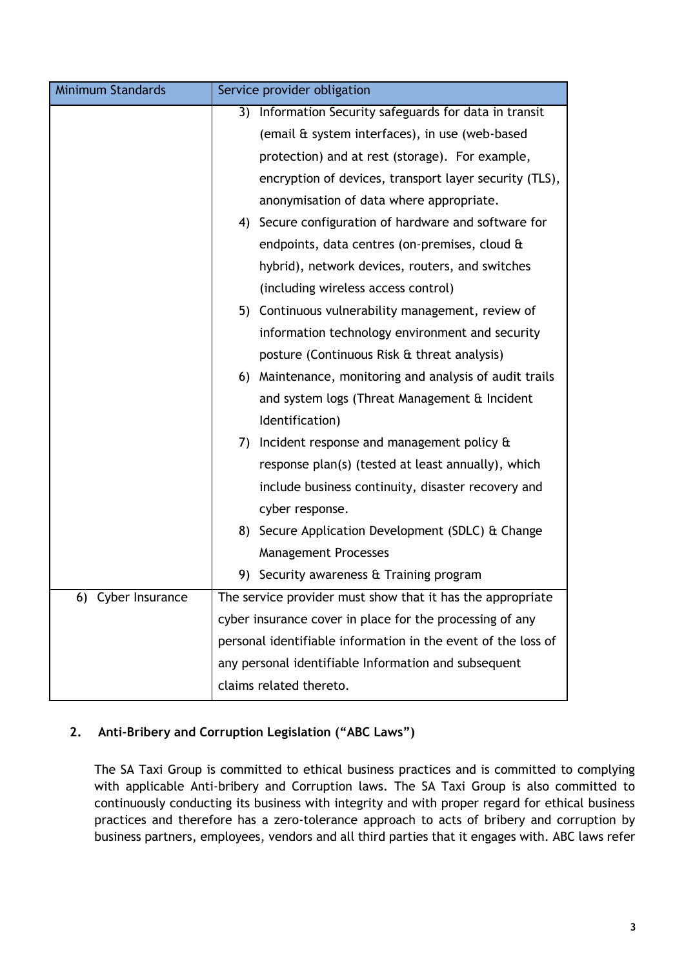| <b>Minimum Standards</b> | Service provider obligation                                   |
|--------------------------|---------------------------------------------------------------|
|                          | Information Security safeguards for data in transit<br>3)     |
|                          | (email & system interfaces), in use (web-based                |
|                          | protection) and at rest (storage). For example,               |
|                          | encryption of devices, transport layer security (TLS),        |
|                          | anonymisation of data where appropriate.                      |
|                          | 4) Secure configuration of hardware and software for          |
|                          | endpoints, data centres (on-premises, cloud &                 |
|                          | hybrid), network devices, routers, and switches               |
|                          | (including wireless access control)                           |
|                          | 5) Continuous vulnerability management, review of             |
|                          | information technology environment and security               |
|                          | posture (Continuous Risk & threat analysis)                   |
|                          | Maintenance, monitoring and analysis of audit trails<br>6)    |
|                          | and system logs (Threat Management & Incident                 |
|                          | Identification)                                               |
|                          | Incident response and management policy &<br>7)               |
|                          | response plan(s) (tested at least annually), which            |
|                          | include business continuity, disaster recovery and            |
|                          | cyber response.                                               |
|                          | 8) Secure Application Development (SDLC) & Change             |
|                          | <b>Management Processes</b>                                   |
|                          | 9)<br>Security awareness & Training program                   |
| 6) Cyber Insurance       | The service provider must show that it has the appropriate    |
|                          | cyber insurance cover in place for the processing of any      |
|                          | personal identifiable information in the event of the loss of |
|                          | any personal identifiable Information and subsequent          |
|                          | claims related thereto.                                       |

## **2. Anti-Bribery and Corruption Legislation ("ABC Laws")**

The SA Taxi Group is committed to ethical business practices and is committed to complying with applicable Anti-bribery and Corruption laws. The SA Taxi Group is also committed to continuously conducting its business with integrity and with proper regard for ethical business practices and therefore has a zero-tolerance approach to acts of bribery and corruption by business partners, employees, vendors and all third parties that it engages with. ABC laws refer